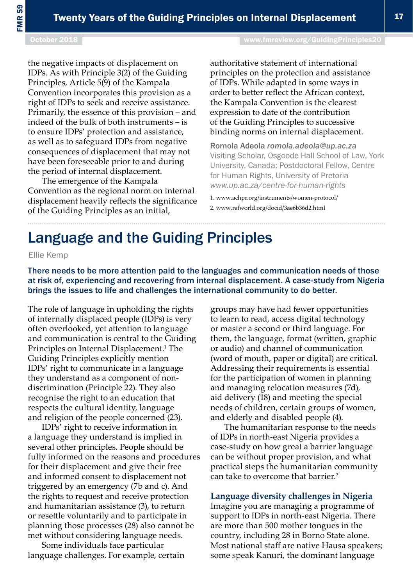# Language and the Guiding Principles

Ellie Kemp

There needs to be more attention paid to the languages and communication needs of those at risk of, experiencing and recovering from internal displacement. A case-study from Nigeria brings the issues to life and challenges the international community to do better.

The role of language in upholding the rights of internally displaced people (IDPs) is very often overlooked, yet attention to language and communication is central to the Guiding Principles on Internal Displacement.<sup>1</sup> The Guiding Principles explicitly mention IDPs' right to communicate in a language they understand as a component of nondiscrimination (Principle 22). They also recognise the right to an education that respects the cultural identity, language and religion of the people concerned (23).

IDPs' right to receive information in a language they understand is implied in several other principles. People should be fully informed on the reasons and procedures for their displacement and give their free and informed consent to displacement not triggered by an emergency (7b and c). And the rights to request and receive protection and humanitarian assistance (3), to return or resettle voluntarily and to participate in planning those processes (28) also cannot be met without considering language needs.

Some individuals face particular language challenges. For example, certain groups may have had fewer opportunities to learn to read, access digital technology or master a second or third language. For them, the language, format (written, graphic or audio) and channel of communication (word of mouth, paper or digital) are critical. Addressing their requirements is essential for the participation of women in planning and managing relocation measures (7d), aid delivery (18) and meeting the special needs of children, certain groups of women, and elderly and disabled people (4).

The humanitarian response to the needs of IDPs in north-east Nigeria provides a case-study on how great a barrier language can be without proper provision, and what practical steps the humanitarian community can take to overcome that barrier<sup>2</sup>

## **Language diversity challenges in Nigeria**

Imagine you are managing a programme of support to IDPs in north-east Nigeria. There are more than 500 mother tongues in the country, including 28 in Borno State alone. Most national staff are native Hausa speakers; some speak Kanuri, the dominant language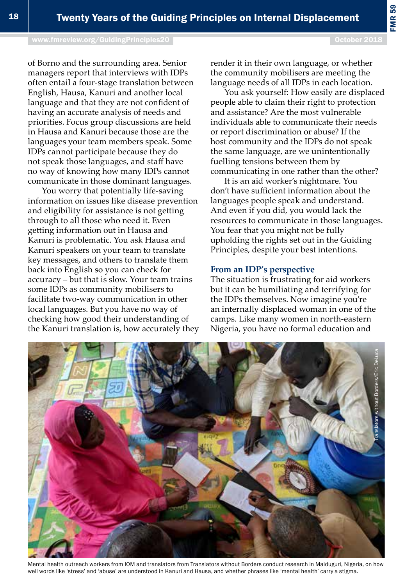[www.fmreview.org/GuidingPrinciples20](http://www.fmreview.org/dayton20
) Decree Control of the Control of the Control of the Control of the Control of the Control of the Control of the Control of the Control of the Control of the Control of the Control of th

of Borno and the surrounding area. Senior managers report that interviews with IDPs often entail a four-stage translation between English, Hausa, Kanuri and another local language and that they are not confident of having an accurate analysis of needs and priorities. Focus group discussions are held in Hausa and Kanuri because those are the languages your team members speak. Some IDPs cannot participate because they do not speak those languages, and staff have no way of knowing how many IDPs cannot communicate in those dominant languages.

You worry that potentially life-saving information on issues like disease prevention and eligibility for assistance is not getting through to all those who need it. Even getting information out in Hausa and Kanuri is problematic. You ask Hausa and Kanuri speakers on your team to translate key messages, and others to translate them back into English so you can check for accuracy – but that is slow. Your team trains some IDPs as community mobilisers to facilitate two-way communication in other local languages. But you have no way of checking how good their understanding of the Kanuri translation is, how accurately they render it in their own language, or whether the community mobilisers are meeting the language needs of all IDPs in each location.

You ask yourself: How easily are displaced people able to claim their right to protection and assistance? Are the most vulnerable individuals able to communicate their needs or report discrimination or abuse? If the host community and the IDPs do not speak the same language, are we unintentionally fuelling tensions between them by communicating in one rather than the other?

It is an aid worker's nightmare. You don't have sufficient information about the languages people speak and understand. And even if you did, you would lack the resources to communicate in those languages. You fear that you might not be fully upholding the rights set out in the Guiding Principles, despite your best intentions.

## **From an IDP's perspective**

The situation is frustrating for aid workers but it can be humiliating and terrifying for the IDPs themselves. Now imagine you're an internally displaced woman in one of the camps. Like many women in north-eastern Nigeria, you have no formal education and



Mental health outreach workers from IOM and translators from Translators without Borders conduct research in Maiduguri, Nigeria, on how well words like 'stress' and 'abuse' are understood in Kanuri and Hausa, and whether phrases like 'mental health' carry a stigma.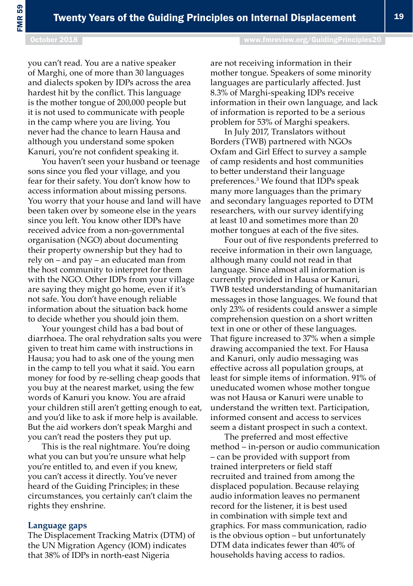#### October 2018 **[www.fmreview.org/GuidingPrinciples20](http://www.fmreview.org/dayton20
)**

you can't read. You are a native speaker of Marghi, one of more than 30 languages and dialects spoken by IDPs across the area hardest hit by the conflict. This language is the mother tongue of 200,000 people but it is not used to communicate with people in the camp where you are living. You never had the chance to learn Hausa and although you understand some spoken Kanuri, you're not confident speaking it.

You haven't seen your husband or teenage sons since you fled your village, and you fear for their safety. You don't know how to access information about missing persons. You worry that your house and land will have been taken over by someone else in the years since you left. You know other IDPs have received advice from a non-governmental organisation (NGO) about documenting their property ownership but they had to rely on – and pay – an educated man from the host community to interpret for them with the NGO. Other IDPs from your village are saying they might go home, even if it's not safe. You don't have enough reliable information about the situation back home to decide whether you should join them.

Your youngest child has a bad bout of diarrhoea. The oral rehydration salts you were given to treat him came with instructions in Hausa; you had to ask one of the young men in the camp to tell you what it said. You earn money for food by re-selling cheap goods that you buy at the nearest market, using the few words of Kanuri you know. You are afraid your children still aren't getting enough to eat, and you'd like to ask if more help is available. But the aid workers don't speak Marghi and you can't read the posters they put up.

This is the real nightmare. You're doing what you can but you're unsure what help you're entitled to, and even if you knew, you can't access it directly. You've never heard of the Guiding Principles; in these circumstances, you certainly can't claim the rights they enshrine.

#### **Language gaps**

The Displacement Tracking Matrix (DTM) of the UN Migration Agency (IOM) indicates that 38% of IDPs in north-east Nigeria

are not receiving information in their mother tongue. Speakers of some minority languages are particularly affected. Just 8.3% of Marghi-speaking IDPs receive information in their own language, and lack of information is reported to be a serious problem for 53% of Marghi speakers.

In July 2017, Translators without Borders (TWB) partnered with NGOs Oxfam and Girl Effect to survey a sample of camp residents and host communities to better understand their language preferences.3 We found that IDPs speak many more languages than the primary and secondary languages reported to DTM researchers, with our survey identifying at least 10 and sometimes more than 20 mother tongues at each of the five sites.

Four out of five respondents preferred to receive information in their own language, although many could not read in that language. Since almost all information is currently provided in Hausa or Kanuri, TWB tested understanding of humanitarian messages in those languages. We found that only 23% of residents could answer a simple comprehension question on a short written text in one or other of these languages. That figure increased to 37% when a simple drawing accompanied the text. For Hausa and Kanuri, only audio messaging was effective across all population groups, at least for simple items of information. 91% of uneducated women whose mother tongue was not Hausa or Kanuri were unable to understand the written text. Participation, informed consent and access to services seem a distant prospect in such a context.

The preferred and most effective method – in-person or audio communication – can be provided with support from trained interpreters or field staff recruited and trained from among the displaced population. Because relaying audio information leaves no permanent record for the listener, it is best used in combination with simple text and graphics. For mass communication, radio is the obvious option – but unfortunately DTM data indicates fewer than 40% of households having access to radios.